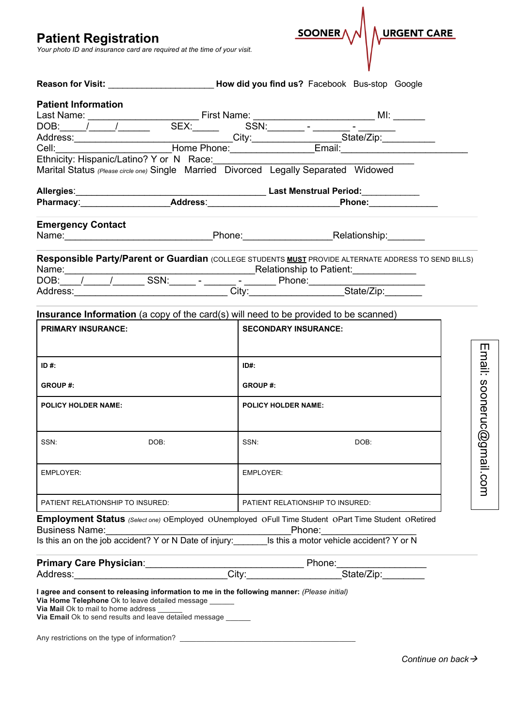**Patient Registration**

*Your photo ID and insurance card are required at the time of your visit.*

|                                     |                                                                                                                          | Reason for Visit: <b>Container and Science Controller Controller Controller Controller Controller Controller Controller Controller Controller Controller Controller Controller Controller Controller Controller Controller Contr</b> |                                                                                                      |                   |
|-------------------------------------|--------------------------------------------------------------------------------------------------------------------------|--------------------------------------------------------------------------------------------------------------------------------------------------------------------------------------------------------------------------------------|------------------------------------------------------------------------------------------------------|-------------------|
| <b>Patient Information</b>          |                                                                                                                          |                                                                                                                                                                                                                                      |                                                                                                      |                   |
|                                     |                                                                                                                          |                                                                                                                                                                                                                                      |                                                                                                      |                   |
|                                     |                                                                                                                          |                                                                                                                                                                                                                                      |                                                                                                      |                   |
|                                     |                                                                                                                          |                                                                                                                                                                                                                                      |                                                                                                      |                   |
|                                     |                                                                                                                          |                                                                                                                                                                                                                                      |                                                                                                      |                   |
|                                     |                                                                                                                          | Marital Status (Please circle one) Single Married Divorced Legally Separated Widowed                                                                                                                                                 |                                                                                                      |                   |
|                                     |                                                                                                                          |                                                                                                                                                                                                                                      |                                                                                                      |                   |
|                                     |                                                                                                                          |                                                                                                                                                                                                                                      |                                                                                                      |                   |
| <b>Emergency Contact</b>            |                                                                                                                          |                                                                                                                                                                                                                                      |                                                                                                      |                   |
|                                     |                                                                                                                          |                                                                                                                                                                                                                                      | Responsible Party/Parent or Guardian (COLLEGE STUDENTS MUST PROVIDE ALTERNATE ADDRESS TO SEND BILLS) |                   |
|                                     |                                                                                                                          |                                                                                                                                                                                                                                      |                                                                                                      |                   |
|                                     |                                                                                                                          |                                                                                                                                                                                                                                      |                                                                                                      |                   |
|                                     |                                                                                                                          | Insurance Information (a copy of the card(s) will need to be provided to be scanned)                                                                                                                                                 |                                                                                                      |                   |
| <b>PRIMARY INSURANCE:</b>           |                                                                                                                          | <b>SECONDARY INSURANCE:</b>                                                                                                                                                                                                          |                                                                                                      |                   |
|                                     |                                                                                                                          |                                                                                                                                                                                                                                      |                                                                                                      |                   |
| ID #:                               |                                                                                                                          | ID#:                                                                                                                                                                                                                                 |                                                                                                      |                   |
| <b>GROUP#:</b>                      |                                                                                                                          | <b>GROUP#:</b>                                                                                                                                                                                                                       |                                                                                                      |                   |
| <b>POLICY HOLDER NAME:</b>          |                                                                                                                          | <b>POLICY HOLDER NAME:</b>                                                                                                                                                                                                           |                                                                                                      | Email: sooneruc@g |
| SSN:                                | DOB:                                                                                                                     | SSN:                                                                                                                                                                                                                                 | DOB:                                                                                                 |                   |
| EMPLOYER:                           |                                                                                                                          | EMPLOYER:                                                                                                                                                                                                                            |                                                                                                      | nail.com          |
| PATIENT RELATIONSHIP TO INSURED:    |                                                                                                                          | PATIENT RELATIONSHIP TO INSURED:                                                                                                                                                                                                     |                                                                                                      |                   |
|                                     |                                                                                                                          | Employment Status (Select one) OEmployed OUnemployed OFull Time Student OPart Time Student ORetired                                                                                                                                  |                                                                                                      |                   |
|                                     |                                                                                                                          |                                                                                                                                                                                                                                      |                                                                                                      |                   |
|                                     |                                                                                                                          |                                                                                                                                                                                                                                      |                                                                                                      |                   |
|                                     |                                                                                                                          | Primary Care Physician:__________________City:____________Phone:________________<br>Address:_______________________________City:_____________________State/Zip:________                                                              |                                                                                                      |                   |
| Via Mail Ok to mail to home address | Via Home Telephone Ok to leave detailed message ______<br>Via Email Ok to send results and leave detailed message ______ | I agree and consent to releasing information to me in the following manner: (Please initial)                                                                                                                                         |                                                                                                      |                   |
|                                     |                                                                                                                          | Any restrictions on the type of information? ___________________________________                                                                                                                                                     |                                                                                                      |                   |

SOONER

URGENT CARE

*Continue on back*à